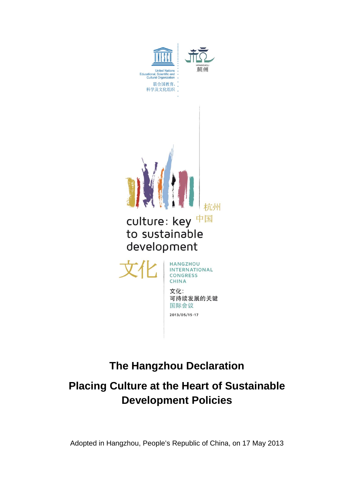

# **The Hangzhou Declaration**

# **Placing Culture at the Heart of Sustainable Development Policies**

Adopted in Hangzhou, People's Republic of China, on 17 May 2013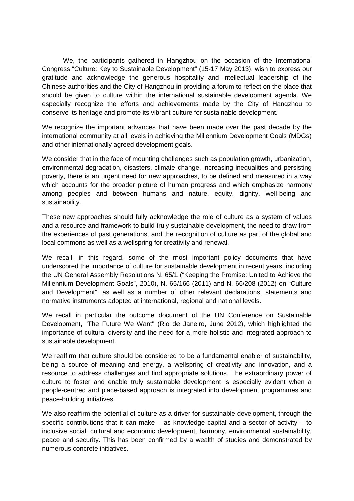We, the participants gathered in Hangzhou on the occasion of the International Congress "Culture: Key to Sustainable Development" (15-17 May 2013), wish to express our gratitude and acknowledge the generous hospitality and intellectual leadership of the Chinese authorities and the City of Hangzhou in providing a forum to reflect on the place that should be given to culture within the international sustainable development agenda. We especially recognize the efforts and achievements made by the City of Hangzhou to conserve its heritage and promote its vibrant culture for sustainable development.

We recognize the important advances that have been made over the past decade by the international community at all levels in achieving the Millennium Development Goals (MDGs) and other internationally agreed development goals.

We consider that in the face of mounting challenges such as population growth, urbanization, environmental degradation, disasters, climate change, increasing inequalities and persisting poverty, there is an urgent need for new approaches, to be defined and measured in a way which accounts for the broader picture of human progress and which emphasize harmony among peoples and between humans and nature, equity, dignity, well-being and sustainability.

These new approaches should fully acknowledge the role of culture as a system of values and a resource and framework to build truly sustainable development, the need to draw from the experiences of past generations, and the recognition of culture as part of the global and local commons as well as a wellspring for creativity and renewal.

We recall, in this regard, some of the most important policy documents that have underscored the importance of culture for sustainable development in recent years, including the UN General Assembly Resolutions N. 65/1 ("Keeping the Promise: United to Achieve the Millennium Development Goals", 2010), N. 65/166 (2011) and N. 66/208 (2012) on "Culture and Development", as well as a number of other relevant declarations, statements and normative instruments adopted at international, regional and national levels.

We recall in particular the outcome document of the UN Conference on Sustainable Development, "The Future We Want" (Rio de Janeiro, June 2012), which highlighted the importance of cultural diversity and the need for a more holistic and integrated approach to sustainable development.

We reaffirm that culture should be considered to be a fundamental enabler of sustainability, being a source of meaning and energy, a wellspring of creativity and innovation, and a resource to address challenges and find appropriate solutions. The extraordinary power of culture to foster and enable truly sustainable development is especially evident when a people-centred and place-based approach is integrated into development programmes and peace-building initiatives.

We also reaffirm the potential of culture as a driver for sustainable development, through the specific contributions that it can make  $-$  as knowledge capital and a sector of activity  $-$  to inclusive social, cultural and economic development, harmony, environmental sustainability, peace and security. This has been confirmed by a wealth of studies and demonstrated by numerous concrete initiatives.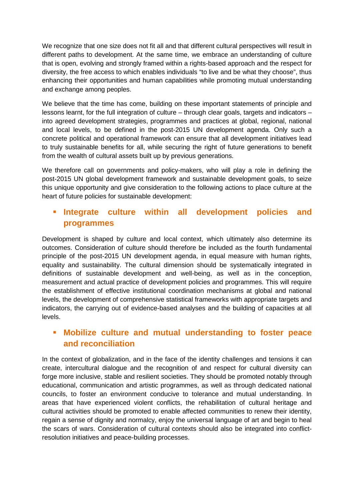We recognize that one size does not fit all and that different cultural perspectives will result in different paths to development. At the same time, we embrace an understanding of culture that is open, evolving and strongly framed within a rights-based approach and the respect for diversity, the free access to which enables individuals "to live and be what they choose", thus enhancing their opportunities and human capabilities while promoting mutual understanding and exchange among peoples.

We believe that the time has come, building on these important statements of principle and lessons learnt, for the full integration of culture – through clear goals, targets and indicators – into agreed development strategies, programmes and practices at global, regional, national and local levels, to be defined in the post-2015 UN development agenda. Only such a concrete political and operational framework can ensure that all development initiatives lead to truly sustainable benefits for all, while securing the right of future generations to benefit from the wealth of cultural assets built up by previous generations.

We therefore call on governments and policy-makers, who will play a role in defining the post-2015 UN global development framework and sustainable development goals, to seize this unique opportunity and give consideration to the following actions to place culture at the heart of future policies for sustainable development:

## **Integrate culture within all development policies and programmes**

Development is shaped by culture and local context, which ultimately also determine its outcomes. Consideration of culture should therefore be included as the fourth fundamental principle of the post-2015 UN development agenda, in equal measure with human rights, equality and sustainability. The cultural dimension should be systematically integrated in definitions of sustainable development and well-being, as well as in the conception, measurement and actual practice of development policies and programmes. This will require the establishment of effective institutional coordination mechanisms at global and national levels, the development of comprehensive statistical frameworks with appropriate targets and indicators, the carrying out of evidence-based analyses and the building of capacities at all levels.

### **Mobilize culture and mutual understanding to foster peace and reconciliation**

In the context of globalization, and in the face of the identity challenges and tensions it can create, intercultural dialogue and the recognition of and respect for cultural diversity can forge more inclusive, stable and resilient societies. They should be promoted notably through educational, communication and artistic programmes, as well as through dedicated national councils, to foster an environment conducive to tolerance and mutual understanding. In areas that have experienced violent conflicts, the rehabilitation of cultural heritage and cultural activities should be promoted to enable affected communities to renew their identity, regain a sense of dignity and normalcy, enjoy the universal language of art and begin to heal the scars of wars. Consideration of cultural contexts should also be integrated into conflictresolution initiatives and peace-building processes.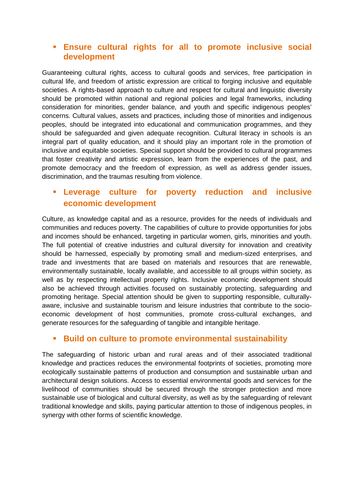#### **Ensure cultural rights for all to promote inclusive social development**

Guaranteeing cultural rights, access to cultural goods and services, free participation in cultural life, and freedom of artistic expression are critical to forging inclusive and equitable societies. A rights-based approach to culture and respect for cultural and linguistic diversity should be promoted within national and regional policies and legal frameworks, including consideration for minorities, gender balance, and youth and specific indigenous peoples' concerns. Cultural values, assets and practices, including those of minorities and indigenous peoples, should be integrated into educational and communication programmes, and they should be safeguarded and given adequate recognition. Cultural literacy in schools is an integral part of quality education, and it should play an important role in the promotion of inclusive and equitable societies. Special support should be provided to cultural programmes that foster creativity and artistic expression, learn from the experiences of the past, and promote democracy and the freedom of expression, as well as address gender issues, discrimination, and the traumas resulting from violence.

## **Leverage culture for poverty reduction and inclusive economic development**

Culture, as knowledge capital and as a resource, provides for the needs of individuals and communities and reduces poverty. The capabilities of culture to provide opportunities for jobs and incomes should be enhanced, targeting in particular women, girls, minorities and youth. The full potential of creative industries and cultural diversity for innovation and creativity should be harnessed, especially by promoting small and medium-sized enterprises, and trade and investments that are based on materials and resources that are renewable, environmentally sustainable, locally available, and accessible to all groups within society, as well as by respecting intellectual property rights. Inclusive economic development should also be achieved through activities focused on sustainably protecting, safeguarding and promoting heritage. Special attention should be given to supporting responsible, culturallyaware, inclusive and sustainable tourism and leisure industries that contribute to the socioeconomic development of host communities, promote cross-cultural exchanges, and generate resources for the safeguarding of tangible and intangible heritage.

#### **Build on culture to promote environmental sustainability**

The safeguarding of historic urban and rural areas and of their associated traditional knowledge and practices reduces the environmental footprints of societies, promoting more ecologically sustainable patterns of production and consumption and sustainable urban and architectural design solutions. Access to essential environmental goods and services for the livelihood of communities should be secured through the stronger protection and more sustainable use of biological and cultural diversity, as well as by the safeguarding of relevant traditional knowledge and skills, paying particular attention to those of indigenous peoples, in synergy with other forms of scientific knowledge.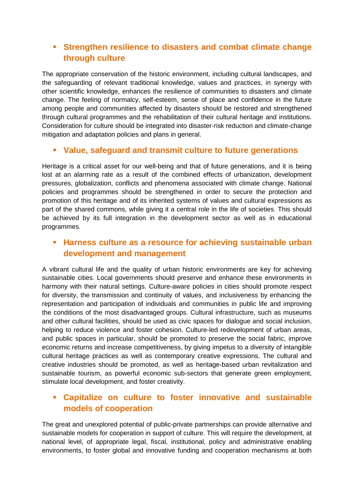## **Strengthen resilience to disasters and combat climate change through culture**

The appropriate conservation of the historic environment, including cultural landscapes, and the safeguarding of relevant traditional knowledge, values and practices, in synergy with other scientific knowledge, enhances the resilience of communities to disasters and climate change. The feeling of normalcy, self-esteem, sense of place and confidence in the future among people and communities affected by disasters should be restored and strengthened through cultural programmes and the rehabilitation of their cultural heritage and institutions. Consideration for culture should be integrated into disaster-risk reduction and climate-change mitigation and adaptation policies and plans in general.

#### **Value, safeguard and transmit culture to future generations**

Heritage is a critical asset for our well-being and that of future generations, and it is being lost at an alarming rate as a result of the combined effects of urbanization, development pressures, globalization, conflicts and phenomena associated with climate change. National policies and programmes should be strengthened in order to secure the protection and promotion of this heritage and of its inherited systems of values and cultural expressions as part of the shared commons, while giving it a central role in the life of societies. This should be achieved by its full integration in the development sector as well as in educational programmes.

## **Harness culture as a resource for achieving sustainable urban development and management**

A vibrant cultural life and the quality of urban historic environments are key for achieving sustainable cities. Local governments should preserve and enhance these environments in harmony with their natural settings. Culture-aware policies in cities should promote respect for diversity, the transmission and continuity of values, and inclusiveness by enhancing the representation and participation of individuals and communities in public life and improving the conditions of the most disadvantaged groups. Cultural infrastructure, such as museums and other cultural facilities, should be used as civic spaces for dialogue and social inclusion, helping to reduce violence and foster cohesion. Culture-led redevelopment of urban areas, and public spaces in particular, should be promoted to preserve the social fabric, improve economic returns and increase competitiveness, by giving impetus to a diversity of intangible cultural heritage practices as well as contemporary creative expressions. The cultural and creative industries should be promoted, as well as heritage-based urban revitalization and sustainable tourism, as powerful economic sub-sectors that generate green employment, stimulate local development, and foster creativity.

## **Capitalize on culture to foster innovative and sustainable models of cooperation**

The great and unexplored potential of public-private partnerships can provide alternative and sustainable models for cooperation in support of culture. This will require the development, at national level, of appropriate legal, fiscal, institutional, policy and administrative enabling environments, to foster global and innovative funding and cooperation mechanisms at both